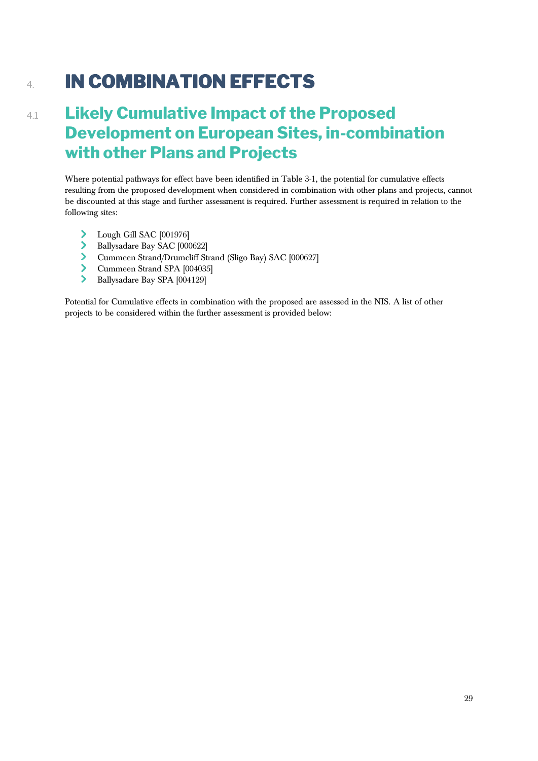## 4. **IN COMBINATION EFFECTS**

## 4.1 **Likely Cumulative Impact of the Proposed Development on European Sites, in-combination with other Plans and Projects**

Where potential pathways for effect have been identified in Table 3-1, the potential for cumulative effects resulting from the proposed development when considered in combination with other plans and projects, cannot be discounted at this stage and further assessment is required. Further assessment is required in relation to the following sites:

- > Lough Gill SAC [001976]
- Ballysadare Bay SAC [000622]
- Cummeen Strand/Drumcliff Strand (Sligo Bay) SAC [000627]
- Cummeen Strand SPA [004035]
- Ballysadare Bay SPA [004129]

Potential for Cumulative effects in combination with the proposed are assessed in the NIS. A list of other projects to be considered within the further assessment is provided below: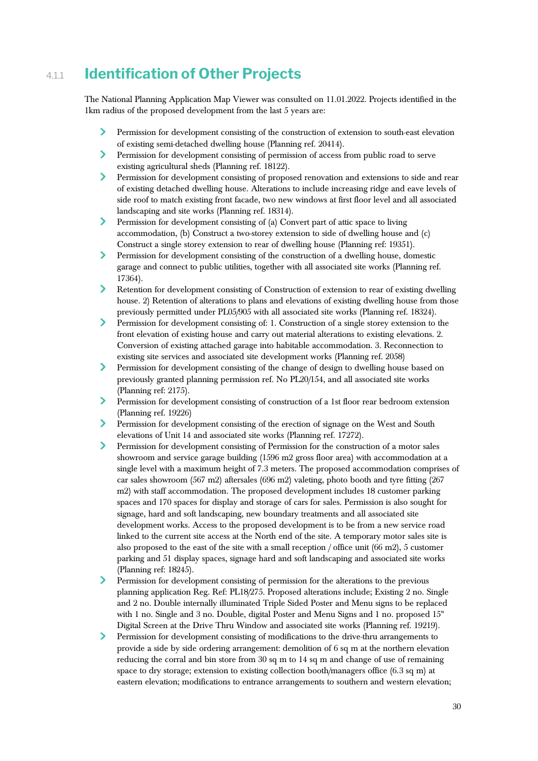## 4.1.1 **Identification of Other Projects**

The National Planning Application Map Viewer was consulted on 11.01.2022. Projects identified in the 1km radius of the proposed development from the last 5 years are:

- $\blacktriangleright$ Permission for development consisting of the construction of extension to south-east elevation of existing semi-detached dwelling house (Planning ref. 20414).
- У Permission for development consisting of permission of access from public road to serve existing agricultural sheds (Planning ref. 18122).
- $\blacktriangleright$ Permission for development consisting of proposed renovation and extensions to side and rear of existing detached dwelling house. Alterations to include increasing ridge and eave levels of side roof to match existing front facade, two new windows at first floor level and all associated landscaping and site works (Planning ref. 18314).
- $\blacktriangleright$ Permission for development consisting of (a) Convert part of attic space to living accommodation, (b) Construct a two-storey extension to side of dwelling house and (c) Construct a single storey extension to rear of dwelling house (Planning ref: 19351).
- У Permission for development consisting of the construction of a dwelling house, domestic garage and connect to public utilities, together with all associated site works (Planning ref. 17364).
- Retention for development consisting of Construction of extension to rear of existing dwelling house. 2) Retention of alterations to plans and elevations of existing dwelling house from those previously permitted under PL05/905 with all associated site works (Planning ref. 18324).
- $\blacktriangleright$ Permission for development consisting of: 1. Construction of a single storey extension to the front elevation of existing house and carry out material alterations to existing elevations. 2. Conversion of existing attached garage into habitable accommodation. 3. Reconnection to existing site services and associated site development works (Planning ref. 2058)
- ≻ Permission for development consisting of the change of design to dwelling house based on previously granted planning permission ref. No PL20/154, and all associated site works (Planning ref: 2175).
- Permission for development consisting of construction of a 1st floor rear bedroom extension (Planning ref. 19226)
- $\blacktriangleright$ Permission for development consisting of the erection of signage on the West and South elevations of Unit 14 and associated site works (Planning ref. 17272).
- $\blacktriangleright$ Permission for development consisting of Permission for the construction of a motor sales showroom and service garage building (1596 m2 gross floor area) with accommodation at a single level with a maximum height of 7.3 meters. The proposed accommodation comprises of car sales showroom (567 m2) aftersales (696 m2) valeting, photo booth and tyre fitting (267 m2) with staff accommodation. The proposed development includes 18 customer parking spaces and 170 spaces for display and storage of cars for sales. Permission is also sought for signage, hard and soft landscaping, new boundary treatments and all associated site development works. Access to the proposed development is to be from a new service road linked to the current site access at the North end of the site. A temporary motor sales site is also proposed to the east of the site with a small reception / office unit (66 m2), 5 customer parking and 51 display spaces, signage hard and soft landscaping and associated site works (Planning ref: 18245).
- У. Permission for development consisting of permission for the alterations to the previous planning application Reg. Ref: PL18/275. Proposed alterations include; Existing 2 no. Single and 2 no. Double internally illuminated Triple Sided Poster and Menu signs to be replaced with 1 no. Single and 3 no. Double, digital Poster and Menu Signs and 1 no. proposed 15" Digital Screen at the Drive Thru Window and associated site works (Planning ref. 19219).
- $\sum$ Permission for development consisting of modifications to the drive-thru arrangements to provide a side by side ordering arrangement: demolition of 6 sq m at the northern elevation reducing the corral and bin store from 30 sq m to 14 sq m and change of use of remaining space to dry storage; extension to existing collection booth/managers office (6.3 sq m) at eastern elevation; modifications to entrance arrangements to southern and western elevation;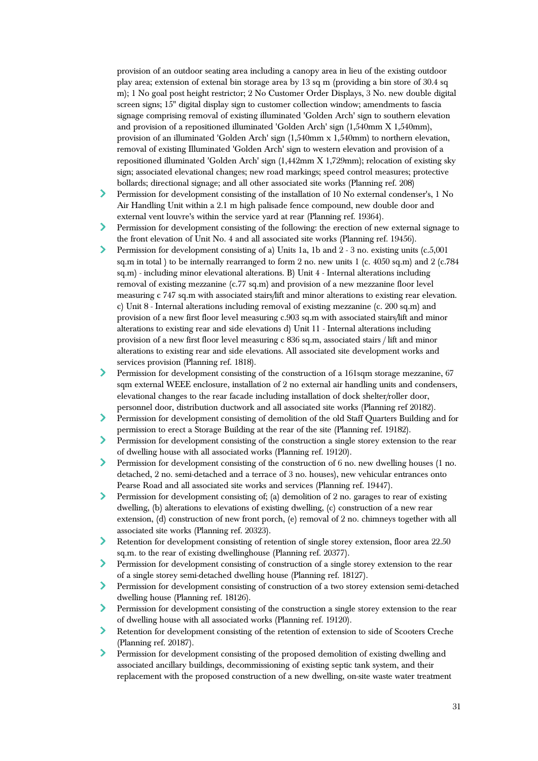provision of an outdoor seating area including a canopy area in lieu of the existing outdoor play area; extension of extenal bin storage area by 13 sq m (providing a bin store of 30.4 sq m); 1 No goal post height restrictor; 2 No Customer Order Displays, 3 No. new double digital screen signs; 15" digital display sign to customer collection window; amendments to fascia signage comprising removal of existing illuminated 'Golden Arch' sign to southern elevation and provision of a repositioned illuminated 'Golden Arch' sign (1,540mm X 1,540mm), provision of an illuminated 'Golden Arch' sign (1,540mm x 1,540mm) to northern elevation, removal of existing Illuminated 'Golden Arch' sign to western elevation and provision of a repositioned illuminated 'Golden Arch' sign (1,442mm X 1,729mm); relocation of existing sky sign; associated elevational changes; new road markings; speed control measures; protective bollards; directional signage; and all other associated site works (Planning ref. 208)

- ≻ Permission for development consisting of the installation of 10 No external condenser's, 1 No Air Handling Unit within a 2.1 m high palisade fence compound, new double door and external vent louvre's within the service yard at rear (Planning ref. 19364).
- ≻ Permission for development consisting of the following: the erection of new external signage to the front elevation of Unit No. 4 and all associated site works (Planning ref. 19456).
- ⋗ Permission for development consisting of a) Units 1a, 1b and 2 - 3 no. existing units (c.5,001 sq.m in total ) to be internally rearranged to form 2 no. new units 1 (c. 4050 sq.m) and 2 (c.784 sq.m) - including minor elevational alterations. B) Unit 4 - Internal alterations including removal of existing mezzanine (c.77 sq.m) and provision of a new mezzanine floor level measuring c 747 sq.m with associated stairs/lift and minor alterations to existing rear elevation. c) Unit 8 - Internal alterations including removal of existing mezzanine (c. 200 sq.m) and provision of a new first floor level measuring c.903 sq.m with associated stairs/lift and minor alterations to existing rear and side elevations d) Unit 11 - Internal alterations including provision of a new first floor level measuring c 836 sq.m, associated stairs / lift and minor alterations to existing rear and side elevations. All associated site development works and services provision (Planning ref. 1818).
- $\sum$ Permission for development consisting of the construction of a 161sqm storage mezzanine, 67 sqm external WEEE enclosure, installation of 2 no external air handling units and condensers, elevational changes to the rear facade including installation of dock shelter/roller door, personnel door, distribution ductwork and all associated site works (Planning ref 20182).
- ⋗ Permission for development consisting of demolition of the old Staff Quarters Building and for permission to erect a Storage Building at the rear of the site (Planning ref. 19182).
- $\blacktriangleright$ Permission for development consisting of the construction a single storey extension to the rear of dwelling house with all associated works (Planning ref. 19120).
- $\blacktriangleright$ Permission for development consisting of the construction of 6 no. new dwelling houses (1 no. detached, 2 no. semi-detached and a terrace of 3 no. houses), new vehicular entrances onto Pearse Road and all associated site works and services (Planning ref. 19447).
- ≻ Permission for development consisting of; (a) demolition of 2 no. garages to rear of existing dwelling, (b) alterations to elevations of existing dwelling, (c) construction of a new rear extension, (d) construction of new front porch, (e) removal of 2 no. chimneys together with all associated site works (Planning ref. 20323).
- $\blacktriangleright$ Retention for development consisting of retention of single storey extension, floor area 22.50 sq.m. to the rear of existing dwellinghouse (Planning ref. 20377).
- Permission for development consisting of construction of a single storey extension to the rear of a single storey semi-detached dwelling house (Planning ref. 18127).
- ≻ Permission for development consisting of construction of a two storey extension semi-detached dwelling house (Planning ref. 18126).
- $\blacktriangleright$ Permission for development consisting of the construction a single storey extension to the rear of dwelling house with all associated works (Planning ref. 19120).
- У Retention for development consisting of the retention of extension to side of Scooters Creche (Planning ref. 20187).
- $\blacktriangleright$ Permission for development consisting of the proposed demolition of existing dwelling and associated ancillary buildings, decommissioning of existing septic tank system, and their replacement with the proposed construction of a new dwelling, on-site waste water treatment